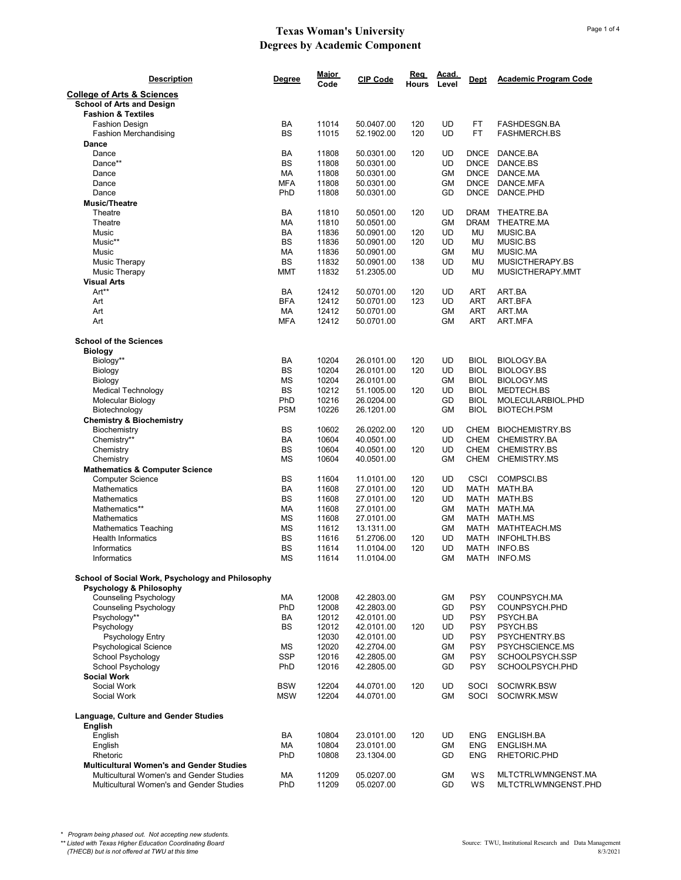| <b>Description</b>                                                        | <b>Degree</b>          | <u>Major</u><br>Code | <b>CIP Code</b>          | Req<br>Hours | Acad.<br>Level  | Dept                     | <b>Academic Program Code</b> |
|---------------------------------------------------------------------------|------------------------|----------------------|--------------------------|--------------|-----------------|--------------------------|------------------------------|
| <b>College of Arts &amp; Sciences</b><br><b>School of Arts and Design</b> |                        |                      |                          |              |                 |                          |                              |
| <b>Fashion &amp; Textiles</b>                                             |                        |                      |                          |              |                 |                          |                              |
| <b>Fashion Design</b>                                                     | <b>BA</b><br><b>BS</b> | 11014                | 50.0407.00               | 120          | UD<br><b>UD</b> | FT<br><b>FT</b>          | FASHDESGN.BA                 |
| <b>Fashion Merchandising</b><br>Dance                                     |                        | 11015                | 52.1902.00               | 120          |                 |                          | <b>FASHMERCH.BS</b>          |
| Dance                                                                     | BA                     | 11808                | 50.0301.00               | 120          | UD              | <b>DNCE</b>              | DANCE.BA                     |
| Dance**                                                                   | <b>BS</b>              | 11808                | 50.0301.00               |              | UD              | <b>DNCE</b>              | DANCE.BS                     |
| Dance                                                                     | МA                     | 11808                | 50.0301.00               |              | GM              | <b>DNCE</b>              | DANCE.MA                     |
| Dance                                                                     | <b>MFA</b>             | 11808                | 50.0301.00               |              | GМ              | <b>DNCE</b>              | DANCE.MFA                    |
| Dance                                                                     | PhD                    | 11808                | 50.0301.00               |              | GD              | <b>DNCE</b>              | DANCE.PHD                    |
| <b>Music/Theatre</b>                                                      |                        |                      |                          |              |                 |                          |                              |
| Theatre                                                                   | BA                     | 11810                | 50.0501.00               | 120          | <b>UD</b>       | <b>DRAM</b>              | THEATRE.BA                   |
| Theatre                                                                   | МA                     | 11810                | 50.0501.00               |              | <b>GM</b>       | <b>DRAM</b>              | THEATRE.MA                   |
| <b>Music</b>                                                              | BA                     | 11836                | 50.0901.00               | 120          | <b>UD</b>       | MU                       | <b>MUSIC.BA</b>              |
| Music**                                                                   | <b>BS</b>              | 11836                | 50.0901.00               | 120          | UD              | MU                       | MUSIC.BS                     |
| Music                                                                     | МA                     | 11836                | 50.0901.00               |              | <b>GM</b>       | MU                       | MUSIC.MA                     |
| <b>Music Therapy</b>                                                      | <b>BS</b>              | 11832                | 50.0901.00               | 138          | UD              | MU                       | MUSICTHERAPY.BS              |
| Music Therapy                                                             | <b>MMT</b>             | 11832                | 51.2305.00               |              | UD              | <b>MU</b>                | MUSICTHERAPY.MMT             |
| <b>Visual Arts</b>                                                        |                        |                      |                          |              |                 |                          |                              |
| Art**                                                                     | BA                     | 12412                | 50.0701.00               | 120          | UD              | ART                      | ART.BA                       |
| Art                                                                       | <b>BFA</b>             | 12412                | 50.0701.00               | 123          | UD              | ART                      | ART.BFA<br>ART.MA            |
| Art<br>Art                                                                | МA<br><b>MFA</b>       | 12412                | 50.0701.00               |              | GМ<br>GМ        | <b>ART</b><br><b>ART</b> |                              |
|                                                                           |                        | 12412                | 50.0701.00               |              |                 |                          | ART.MFA                      |
| <b>School of the Sciences</b><br><b>Biology</b>                           |                        |                      |                          |              |                 |                          |                              |
| Biology**                                                                 | BA                     | 10204                | 26.0101.00               | 120          | <b>UD</b>       | <b>BIOL</b>              | BIOLOGY.BA                   |
| Biology                                                                   | <b>BS</b>              | 10204                | 26.0101.00               | 120          | <b>UD</b>       | <b>BIOL</b>              | <b>BIOLOGY.BS</b>            |
| Biology                                                                   | <b>MS</b>              | 10204                | 26.0101.00               |              | <b>GM</b>       | <b>BIOL</b>              | <b>BIOLOGY.MS</b>            |
| <b>Medical Technology</b>                                                 | <b>BS</b>              | 10212                | 51.1005.00               | 120          | UD              | <b>BIOL</b>              | MEDTECH.BS                   |
| Molecular Biology                                                         | PhD                    | 10216                | 26.0204.00               |              | GD              | <b>BIOL</b>              | MOLECULARBIOL.PHD            |
| Biotechnology                                                             | <b>PSM</b>             | 10226                | 26.1201.00               |              | GМ              | <b>BIOL</b>              | <b>BIOTECH.PSM</b>           |
| <b>Chemistry &amp; Biochemistry</b>                                       |                        |                      |                          |              |                 |                          |                              |
| Biochemistry                                                              | BS                     | 10602                | 26.0202.00               | 120          | UD              | <b>CHEM</b>              | <b>BIOCHEMISTRY.BS</b>       |
| Chemistry**                                                               | BA                     | 10604                | 40.0501.00               |              | <b>UD</b>       | CHEM                     | CHEMISTRY.BA                 |
| Chemistry                                                                 | BS                     | 10604                | 40.0501.00               | 120          | <b>UD</b>       | CHEM                     | CHEMISTRY.BS                 |
| Chemistry                                                                 | <b>MS</b>              | 10604                | 40.0501.00               |              | <b>GM</b>       |                          | CHEM CHEMISTRY.MS            |
| <b>Mathematics &amp; Computer Science</b>                                 | <b>BS</b>              | 11604                | 11.0101.00               | 120          | <b>UD</b>       | <b>CSCI</b>              | COMPSCI.BS                   |
| <b>Computer Science</b><br><b>Mathematics</b>                             | <b>BA</b>              | 11608                | 27.0101.00               | 120          | UD              | <b>MATH</b>              | MATH.BA                      |
| <b>Mathematics</b>                                                        | <b>BS</b>              | 11608                | 27.0101.00               | 120          | UD              | <b>MATH</b>              | MATH.BS                      |
| Mathematics**                                                             | МA                     | 11608                | 27.0101.00               |              | GM              | MATH                     | MATH.MA                      |
| <b>Mathematics</b>                                                        | MS                     | 11608                | 27.0101.00               |              | <b>GM</b>       | MATH                     | MATH.MS                      |
| <b>Mathematics Teaching</b>                                               | MS                     | 11612                | 13.1311.00               |              | GM              | MATH                     | MATHTEACH.MS                 |
| <b>Health Informatics</b>                                                 | BS                     | 11616                | 51.2706.00               | 120          | UD              | MATH                     | <b>INFOHLTH.BS</b>           |
| Informatics                                                               | BS                     | 11614                | 11.0104.00               | 120          | UD              | MATH                     | INFO.BS                      |
| Informatics                                                               | ΜS                     | 11614                | 11.0104.00               |              | GМ              | MATH                     | INFO.MS                      |
| School of Social Work, Psychology and Philosophy                          |                        |                      |                          |              |                 |                          |                              |
| <b>Psychology &amp; Philosophy</b>                                        |                        |                      |                          |              |                 |                          |                              |
| <b>Counseling Psychology</b>                                              | МA                     | 12008                | 42.2803.00               |              | GM              | <b>PSY</b>               | COUNPSYCH.MA                 |
| <b>Counseling Psychology</b><br>Psychology**                              | PhD                    | 12008                | 42.2803.00               |              | GD<br>UD        | <b>PSY</b>               | COUNPSYCH.PHD                |
| Psychology                                                                | BA<br><b>BS</b>        | 12012<br>12012       | 42.0101.00<br>42.0101.00 | 120          | UD              | <b>PSY</b><br><b>PSY</b> | PSYCH.BA<br>PSYCH.BS         |
| Psychology Entry                                                          |                        | 12030                | 42.0101.00               |              | UD              | <b>PSY</b>               | PSYCHENTRY.BS                |
| <b>Psychological Science</b>                                              | МS                     | 12020                | 42.2704.00               |              | GМ              | <b>PSY</b>               | PSYCHSCIENCE.MS              |
| School Psychology                                                         | <b>SSP</b>             | 12016                | 42.2805.00               |              | GM              | <b>PSY</b>               | SCHOOLPSYCH.SSP              |
| School Psychology                                                         | PhD                    | 12016                | 42.2805.00               |              | GD              | <b>PSY</b>               | SCHOOLPSYCH.PHD              |
| <b>Social Work</b>                                                        |                        |                      |                          |              |                 |                          |                              |
| Social Work                                                               | <b>BSW</b>             | 12204                | 44.0701.00               | 120          | <b>UD</b>       | SOCI                     | SOCIWRK.BSW                  |
| Social Work                                                               | <b>MSW</b>             | 12204                | 44.0701.00               |              | GМ              | SOCI                     | SOCIWRK.MSW                  |
| Language, Culture and Gender Studies<br>English                           |                        |                      |                          |              |                 |                          |                              |
| English                                                                   | BA                     | 10804                | 23.0101.00               | 120          | <b>UD</b>       | <b>ENG</b>               | ENGLISH.BA                   |
| English                                                                   | МA                     | 10804                | 23.0101.00               |              | GМ              | <b>ENG</b>               | ENGLISH.MA                   |
| Rhetoric                                                                  | PhD                    | 10808                | 23.1304.00               |              | GD              | <b>ENG</b>               | RHETORIC.PHD                 |
| <b>Multicultural Women's and Gender Studies</b>                           |                        |                      |                          |              |                 |                          |                              |
| Multicultural Women's and Gender Studies                                  | МA                     | 11209                | 05.0207.00               |              | GМ              | WS                       | MLTCTRLWMNGENST.MA           |
| Multicultural Women's and Gender Studies                                  | PhD                    | 11209                | 05.0207.00               |              | GD              | WS                       | MLTCTRLWMNGENST.PHD          |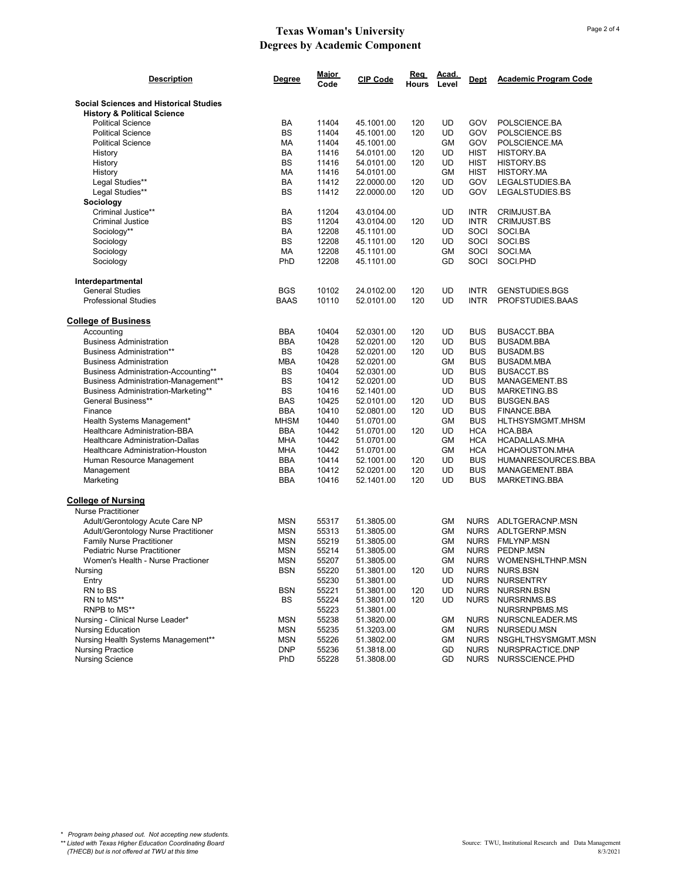| <b>Description</b>                                                                      | Degree      | <b>Major</b><br>Code | CIP Code                 | Req<br>Hours | Acad.<br>Level | <b>Dept</b> | <b>Academic Program Code</b> |
|-----------------------------------------------------------------------------------------|-------------|----------------------|--------------------------|--------------|----------------|-------------|------------------------------|
| <b>Social Sciences and Historical Studies</b><br><b>History &amp; Political Science</b> |             |                      |                          |              |                |             |                              |
| <b>Political Science</b>                                                                | BA          | 11404                | 45.1001.00               | 120          | UD             | GOV         | POLSCIENCE.BA                |
| <b>Political Science</b>                                                                | <b>BS</b>   | 11404                | 45.1001.00               | 120          | <b>UD</b>      | GOV         | POLSCIENCE.BS                |
| <b>Political Science</b>                                                                | MA          | 11404                | 45.1001.00               |              | <b>GM</b>      | GOV         | POLSCIENCE.MA                |
| History                                                                                 | BA          | 11416                | 54.0101.00               | 120          | UD             | <b>HIST</b> | HISTORY.BA                   |
| History                                                                                 | <b>BS</b>   | 11416                | 54.0101.00               | 120          | UD             | <b>HIST</b> | <b>HISTORY.BS</b>            |
| History                                                                                 | MA          | 11416                | 54.0101.00               |              | GМ             | <b>HIST</b> | <b>HISTORY.MA</b>            |
| Legal Studies**                                                                         | BA          | 11412                | 22.0000.00               | 120          | UD             | GOV         | LEGALSTUDIES.BA              |
| Legal Studies**                                                                         | <b>BS</b>   | 11412                | 22.0000.00               | 120          | UD             | GOV         | LEGALSTUDIES.BS              |
| Sociology                                                                               |             |                      |                          |              |                |             |                              |
| Criminal Justice**                                                                      | BA          | 11204                | 43.0104.00               |              | UD             | <b>INTR</b> | CRIMJUST.BA                  |
| <b>Criminal Justice</b>                                                                 | <b>BS</b>   | 11204                | 43.0104.00               | 120          | UD             | <b>INTR</b> | <b>CRIMJUST.BS</b>           |
| Sociology**                                                                             | BA          | 12208                | 45.1101.00               |              | UD             | SOCI        | SOCI.BA                      |
| Sociology                                                                               | <b>BS</b>   | 12208                | 45.1101.00               | 120          | UD             | SOCI        | SOCI.BS                      |
| Sociology                                                                               | МA          | 12208                | 45.1101.00               |              | GМ             | SOCI        | SOCI.MA                      |
| Sociology                                                                               | PhD         | 12208                | 45.1101.00               |              | GD             | SOCI        | SOCI.PHD                     |
|                                                                                         |             |                      |                          |              |                |             |                              |
| Interdepartmental<br><b>General Studies</b>                                             | <b>BGS</b>  | 10102                | 24.0102.00               | 120          | UD             | <b>INTR</b> | <b>GENSTUDIES.BGS</b>        |
| <b>Professional Studies</b>                                                             | <b>BAAS</b> | 10110                | 52.0101.00               | 120          | <b>UD</b>      | <b>INTR</b> | PROFSTUDIES.BAAS             |
|                                                                                         |             |                      |                          |              |                |             |                              |
| <b>College of Business</b>                                                              |             |                      |                          |              |                |             |                              |
| Accounting                                                                              | <b>BBA</b>  | 10404                | 52.0301.00               | 120          | UD             | <b>BUS</b>  | <b>BUSACCT.BBA</b>           |
| <b>Business Administration</b>                                                          | <b>BBA</b>  | 10428                | 52.0201.00<br>52.0201.00 | 120          | UD             | <b>BUS</b>  | <b>BUSADM.BBA</b>            |
| <b>Business Administration**</b>                                                        | BS          | 10428                |                          | 120          | UD             | <b>BUS</b>  | <b>BUSADM.BS</b>             |
| <b>Business Administration</b>                                                          | <b>MBA</b>  | 10428                | 52.0201.00               |              | GМ             | <b>BUS</b>  | BUSADM.MBA                   |
| Business Administration-Accounting**                                                    | BS          | 10404                | 52.0301.00               |              | UD             | <b>BUS</b>  | <b>BUSACCT.BS</b>            |
| <b>Business Administration-Management**</b>                                             | BS          | 10412                | 52.0201.00               |              | <b>UD</b>      | <b>BUS</b>  | MANAGEMENT.BS                |
| Business Administration-Marketing**                                                     | BS          | 10416                | 52.1401.00               |              | <b>UD</b>      | <b>BUS</b>  | <b>MARKETING.BS</b>          |
| General Business**                                                                      | <b>BAS</b>  | 10425                | 52.0101.00               | 120          | UD             | <b>BUS</b>  | <b>BUSGEN.BAS</b>            |
| Finance                                                                                 | <b>BBA</b>  | 10410                | 52.0801.00               | 120          | UD             | <b>BUS</b>  | FINANCE.BBA                  |
| Health Systems Management*                                                              | <b>MHSM</b> | 10440                | 51.0701.00               |              | GM             | <b>BUS</b>  | HLTHSYSMGMT.MHSM             |
| Healthcare Administration-BBA                                                           | <b>BBA</b>  | 10442                | 51.0701.00               | 120          | UD             | <b>HCA</b>  | HCA.BBA                      |
| Healthcare Administration-Dallas                                                        | <b>MHA</b>  | 10442                | 51.0701.00               |              | GМ             | <b>HCA</b>  | HCADALLAS.MHA                |
| Healthcare Administration-Houston                                                       | <b>MHA</b>  | 10442                | 51.0701.00               |              | GМ             | <b>HCA</b>  | HCAHOUSTON.MHA               |
| Human Resource Management                                                               | <b>BBA</b>  | 10414                | 52.1001.00               | 120          | UD             | <b>BUS</b>  | HUMANRESOURCES.BBA           |
| Management                                                                              | BBA         | 10412                | 52.0201.00               | 120          | UD             | <b>BUS</b>  | MANAGEMENT.BBA               |
| Marketing                                                                               | <b>BBA</b>  | 10416                | 52.1401.00               | 120          | UD             | <b>BUS</b>  | MARKETING.BBA                |
| <b>College of Nursing</b>                                                               |             |                      |                          |              |                |             |                              |
| <b>Nurse Practitioner</b>                                                               |             |                      |                          |              |                |             |                              |
| Adult/Gerontology Acute Care NP                                                         | <b>MSN</b>  | 55317                | 51.3805.00               |              | GМ             | <b>NURS</b> | ADLTGERACNP.MSN              |
| Adult/Gerontology Nurse Practitioner                                                    | <b>MSN</b>  | 55313                | 51.3805.00               |              | GМ             | <b>NURS</b> | ADLTGERNP.MSN                |
| <b>Family Nurse Practitioner</b>                                                        | <b>MSN</b>  | 55219                | 51.3805.00               |              | GM             | <b>NURS</b> | <b>FMLYNP.MSN</b>            |
| <b>Pediatric Nurse Practitioner</b>                                                     | <b>MSN</b>  | 55214                | 51.3805.00               |              | GM             | <b>NURS</b> | PEDNP.MSN                    |
| Women's Health - Nurse Practioner                                                       | <b>MSN</b>  | 55207                | 51.3805.00               |              | GМ             | <b>NURS</b> | WOMENSHLTHNP.MSN             |
| Nursing                                                                                 | BSN         | 55220                | 51.3801.00               | 120          | UD             | <b>NURS</b> | NURS.BSN                     |
| Entry                                                                                   |             | 55230                | 51.3801.00               |              | UD             | <b>NURS</b> | <b>NURSENTRY</b>             |
| RN to BS                                                                                | <b>BSN</b>  | 55221                | 51.3801.00               | 120          | UD             | <b>NURS</b> | NURSRN.BSN                   |
| RN to MS**                                                                              | BS          | 55224                | 51.3801.00               | 120          | UD             | <b>NURS</b> | NURSRNMS.BS                  |
| RNPB to MS**                                                                            |             | 55223                | 51.3801.00               |              |                |             | NURSRNPBMS.MS                |
| Nursing - Clinical Nurse Leader*                                                        | <b>MSN</b>  | 55238                | 51.3820.00               |              | GМ             | <b>NURS</b> | NURSCNLEADER.MS              |
| <b>Nursing Education</b>                                                                | <b>MSN</b>  | 55235                | 51.3203.00               |              | GМ             | <b>NURS</b> | NURSEDU.MSN                  |
| Nursing Health Systems Management**                                                     | <b>MSN</b>  | 55226                | 51.3802.00               |              | GМ             | <b>NURS</b> | NSGHLTHSYSMGMT.MSN           |
| <b>Nursing Practice</b>                                                                 | <b>DNP</b>  | 55236                | 51.3818.00               |              | GD             | <b>NURS</b> | NURSPRACTICE.DNP             |
| <b>Nursing Science</b>                                                                  | PhD         | 55228                | 51.3808.00               |              | GD             | <b>NURS</b> | NURSSCIENCE.PHD              |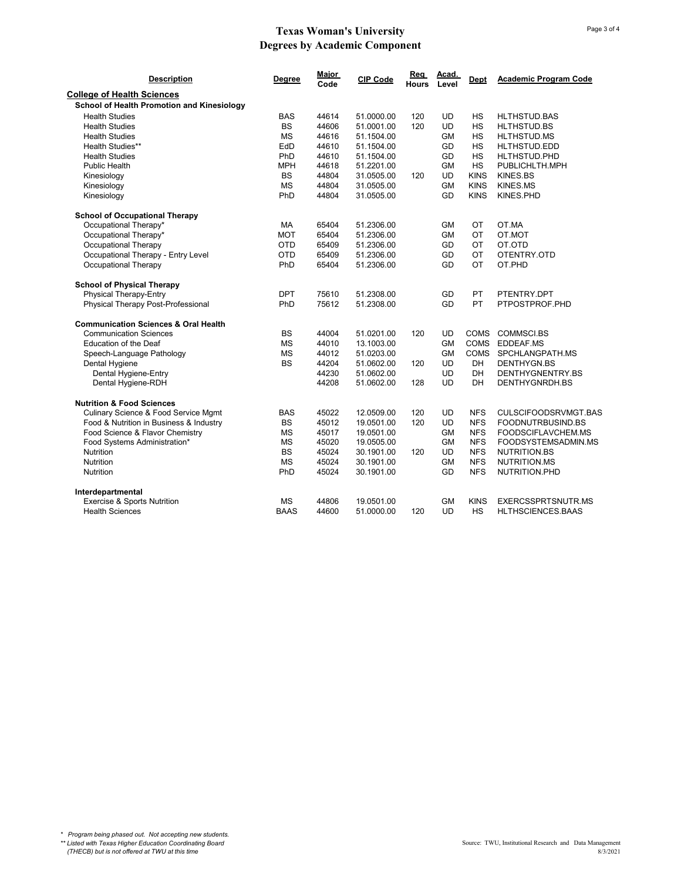| <b>Description</b>                              | Degree      | Major<br>Code | <b>CIP Code</b> | Rea<br><b>Hours</b> | Acad.<br>Level | <b>Dept</b> | <b>Academic Program Code</b> |
|-------------------------------------------------|-------------|---------------|-----------------|---------------------|----------------|-------------|------------------------------|
| <b>College of Health Sciences</b>               |             |               |                 |                     |                |             |                              |
| School of Health Promotion and Kinesiology      |             |               |                 |                     |                |             |                              |
| <b>Health Studies</b>                           | <b>BAS</b>  | 44614         | 51.0000.00      | 120                 | <b>UD</b>      | HS          | HLTHSTUD.BAS                 |
| <b>Health Studies</b>                           | <b>BS</b>   | 44606         | 51.0001.00      | 120                 | <b>UD</b>      | <b>HS</b>   | HLTHSTUD.BS                  |
| <b>Health Studies</b>                           | <b>MS</b>   | 44616         | 51.1504.00      |                     | <b>GM</b>      | <b>HS</b>   | HLTHSTUD.MS                  |
| Health Studies**                                | EdD         | 44610         | 51.1504.00      |                     | GD             | <b>HS</b>   | HLTHSTUD.EDD                 |
| <b>Health Studies</b>                           | PhD         | 44610         | 51.1504.00      |                     | GD             | <b>HS</b>   | HLTHSTUD.PHD                 |
| <b>Public Health</b>                            | <b>MPH</b>  | 44618         | 51.2201.00      |                     | <b>GM</b>      | HS          | PUBLICHLTH.MPH               |
| Kinesiology                                     | <b>BS</b>   | 44804         | 31.0505.00      | 120                 | <b>UD</b>      | <b>KINS</b> | KINES.BS                     |
| Kinesiology                                     | <b>MS</b>   | 44804         | 31.0505.00      |                     | <b>GM</b>      | <b>KINS</b> | KINES.MS                     |
| Kinesiology                                     | PhD         | 44804         | 31.0505.00      |                     | GD             | <b>KINS</b> | KINES.PHD                    |
| <b>School of Occupational Therapy</b>           |             |               |                 |                     |                |             |                              |
| Occupational Therapy*                           | MA          | 65404         | 51.2306.00      |                     | GM             | ОT          | OT.MA                        |
| Occupational Therapy*                           | <b>MOT</b>  | 65404         | 51.2306.00      |                     | <b>GM</b>      | OT          | OT.MOT                       |
| Occupational Therapy                            | OTD         | 65409         | 51.2306.00      |                     | GD             | ОT          | OT.OTD                       |
| Occupational Therapy - Entry Level              | <b>OTD</b>  | 65409         | 51.2306.00      |                     | GD             | OT          | OTENTRY.OTD                  |
| Occupational Therapy                            | PhD         | 65404         | 51.2306.00      |                     | GD             | OT          | OT.PHD                       |
| <b>School of Physical Therapy</b>               |             |               |                 |                     |                |             |                              |
| <b>Physical Therapy-Entry</b>                   | <b>DPT</b>  | 75610         | 51.2308.00      |                     | GD             | PT          | PTENTRY.DPT                  |
| Physical Therapy Post-Professional              | PhD         | 75612         | 51.2308.00      |                     | GD             | PT          | PTPOSTPROF.PHD               |
| <b>Communication Sciences &amp; Oral Health</b> |             |               |                 |                     |                |             |                              |
| <b>Communication Sciences</b>                   | <b>BS</b>   | 44004         | 51.0201.00      | 120                 | <b>UD</b>      | <b>COMS</b> | COMMSCI.BS                   |
| <b>Education of the Deaf</b>                    | <b>MS</b>   | 44010         | 13.1003.00      |                     | <b>GM</b>      | <b>COMS</b> | EDDEAF.MS                    |
| Speech-Language Pathology                       | <b>MS</b>   | 44012         | 51.0203.00      |                     | GM             | <b>COMS</b> | SPCHLANGPATH.MS              |
| Dental Hygiene                                  | <b>BS</b>   | 44204         | 51.0602.00      | 120                 | <b>UD</b>      | DH          | DENTHYGN.BS                  |
| Dental Hygiene-Entry                            |             | 44230         | 51.0602.00      |                     | <b>UD</b>      | DH          | DENTHYGNENTRY.BS             |
| Dental Hygiene-RDH                              |             | 44208         | 51.0602.00      | 128                 | UD             | DH          | DENTHYGNRDH.BS               |
| <b>Nutrition &amp; Food Sciences</b>            |             |               |                 |                     |                |             |                              |
| Culinary Science & Food Service Mgmt            | <b>BAS</b>  | 45022         | 12.0509.00      | 120                 | <b>UD</b>      | <b>NFS</b>  | CULSCIFOODSRVMGT.BAS         |
| Food & Nutrition in Business & Industry         | <b>BS</b>   | 45012         | 19.0501.00      | 120                 | <b>UD</b>      | <b>NFS</b>  | FOODNUTRBUSIND.BS            |
| Food Science & Flavor Chemistry                 | <b>MS</b>   | 45017         | 19.0501.00      |                     | GM             | <b>NFS</b>  | FOODSCIFLAVCHEM.MS           |
| Food Systems Administration*                    | <b>MS</b>   | 45020         | 19.0505.00      |                     | <b>GM</b>      | <b>NFS</b>  | FOODSYSTEMSADMIN.MS          |
| <b>Nutrition</b>                                | <b>BS</b>   | 45024         | 30.1901.00      | 120                 | <b>UD</b>      | <b>NFS</b>  | NUTRITION.BS                 |
| <b>Nutrition</b>                                | <b>MS</b>   | 45024         | 30.1901.00      |                     | GM             | <b>NFS</b>  | NUTRITION.MS                 |
| <b>Nutrition</b>                                | PhD         | 45024         | 30.1901.00      |                     | GD             | <b>NFS</b>  | NUTRITION.PHD                |
| Interdepartmental                               |             |               |                 |                     |                |             |                              |
| Exercise & Sports Nutrition                     | <b>MS</b>   | 44806         | 19.0501.00      |                     | <b>GM</b>      | <b>KINS</b> | <b>EXERCSSPRTSNUTR.MS</b>    |
| <b>Health Sciences</b>                          | <b>BAAS</b> | 44600         | 51.0000.00      | 120                 | UD             | <b>HS</b>   | HLTHSCIENCES.BAAS            |